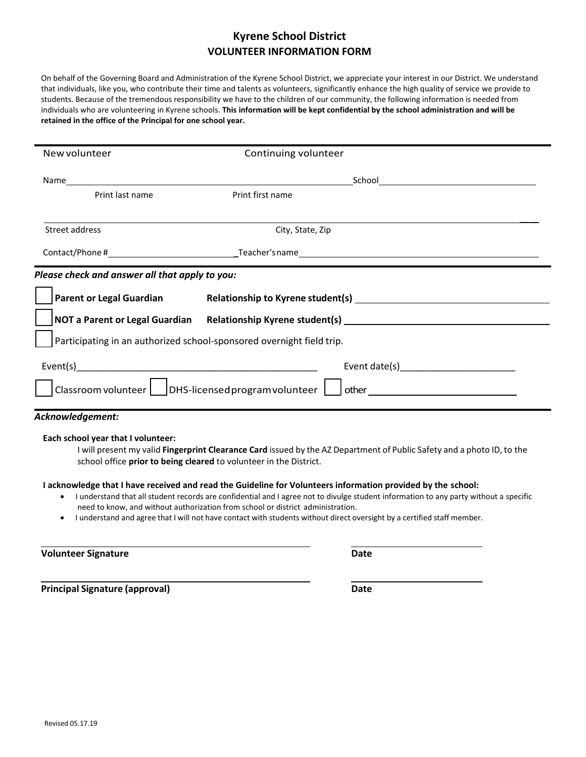## **Kyrene School District VOLUNTEER INFORMATION FORM**

On behalf of the Governing Board and Administration of the Kyrene School District, we appreciate your interest in our District. We understand that individuals, like you, who contribute their time and talents as volunteers, significantly enhance the high quality of service we provide to students. Because of the tremendous responsibility we have to the children of our community, the following information is needed from individuals who are volunteering in Kyrene schools. **This information will be kept confidential by the school administration and will be retained in the office of the Principal for one school year.** 

| New volunteer                                                                                                                                                                                                                                                                                                     | Continuing volunteer                                                                              |  |
|-------------------------------------------------------------------------------------------------------------------------------------------------------------------------------------------------------------------------------------------------------------------------------------------------------------------|---------------------------------------------------------------------------------------------------|--|
|                                                                                                                                                                                                                                                                                                                   |                                                                                                   |  |
| Print last name                                                                                                                                                                                                                                                                                                   | Print first name                                                                                  |  |
| Street address                                                                                                                                                                                                                                                                                                    | City, State, Zip                                                                                  |  |
|                                                                                                                                                                                                                                                                                                                   |                                                                                                   |  |
| Please check and answer all that apply to you:                                                                                                                                                                                                                                                                    |                                                                                                   |  |
|                                                                                                                                                                                                                                                                                                                   | Parent or Legal Guardian Relationship to Kyrene student(s) [18] Relationship to Kyrene student(s) |  |
|                                                                                                                                                                                                                                                                                                                   |                                                                                                   |  |
| Participating in an authorized school-sponsored overnight field trip.                                                                                                                                                                                                                                             |                                                                                                   |  |
|                                                                                                                                                                                                                                                                                                                   |                                                                                                   |  |
| $ \mathsf{Classroom}\,$ volunteer $ \_\mathsf{DHS}\,$ licensed program volunteer<br>other and the contract of the contract of the contract of the contract of the contract of the contract of the contract of the contract of the contract of the contract of the contract of the contract of the contract of the |                                                                                                   |  |
| Acknowledgement:                                                                                                                                                                                                                                                                                                  |                                                                                                   |  |

## **Each school year that I volunteer:**

I will present my valid **Fingerprint Clearance Card** issued by the AZ Department of Public Safety and a photo ID, to the school office **prior to being cleared** to volunteer in the District.

## **I acknowledge that I have received and read the Guideline for Volunteers information provided by the school:**

- I understand that all student records are confidential and I agree not to divulge student information to any party without a specific need to know, and without authorization from school or district administration.
- I understand and agree that I will not have contact with students without direct oversight by a certified staff member.

**Volunteer Signature Date**

**Principal Signature (approval) Date**